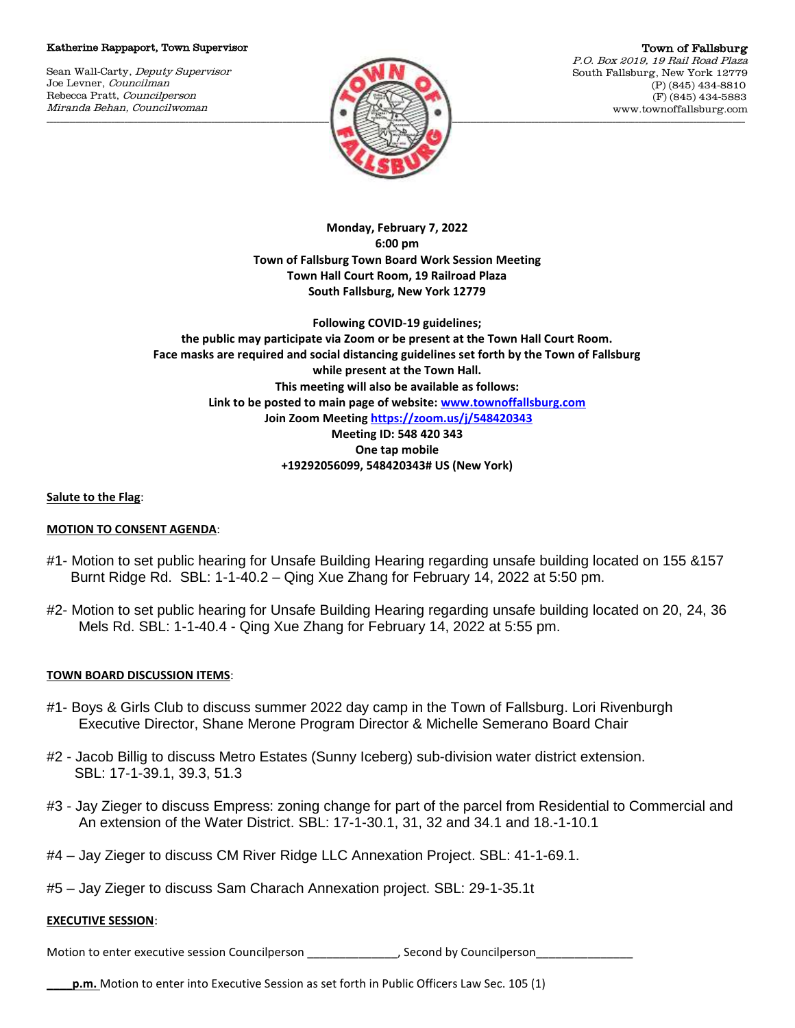## Katherine Rappaport, Town Supervisor

Sean Wall-Carty, Deputy Supervisor Joe Levner, Councilman Rebecca Pratt, Councilperson Miranda Behan, Councilwoman



Town of Fallsburg P.O. Box 2019, 19 Rail Road Plaza South Fallsburg, New York 12779 (P) (845) 434-8810 (F) (845) 434-5883 www.townoffallsburg.com

**Monday, February 7, 2022 6:00 pm Town of Fallsburg Town Board Work Session Meeting Town Hall Court Room, 19 Railroad Plaza South Fallsburg, New York 12779** 

**Following COVID-19 guidelines; the public may participate via Zoom or be present at the Town Hall Court Room. Face masks are required and social distancing guidelines set forth by the Town of Fallsburg while present at the Town Hall. This meeting will also be available as follows: Link to be posted to main page of website[: www.townoffallsburg.com](http://www.townoffallsburg.com/) Join Zoom Meetin[g https://zoom.us/j/548420343](https://zoom.us/j/548420343) Meeting ID: 548 420 343 One tap mobile +19292056099, 548420343# US (New York)**

# **Salute to the Flag**:

# **MOTION TO CONSENT AGENDA**:

- #1- Motion to set public hearing for Unsafe Building Hearing regarding unsafe building located on 155 &157 Burnt Ridge Rd. SBL: 1-1-40.2 – Qing Xue Zhang for February 14, 2022 at 5:50 pm.
- #2- Motion to set public hearing for Unsafe Building Hearing regarding unsafe building located on 20, 24, 36 Mels Rd. SBL: 1-1-40.4 - Qing Xue Zhang for February 14, 2022 at 5:55 pm.

# **TOWN BOARD DISCUSSION ITEMS**:

- #1- Boys & Girls Club to discuss summer 2022 day camp in the Town of Fallsburg. Lori Rivenburgh Executive Director, Shane Merone Program Director & Michelle Semerano Board Chair
- #2 Jacob Billig to discuss Metro Estates (Sunny Iceberg) sub-division water district extension. SBL: 17-1-39.1, 39.3, 51.3
- #3 Jay Zieger to discuss Empress: zoning change for part of the parcel from Residential to Commercial and An extension of the Water District. SBL: 17-1-30.1, 31, 32 and 34.1 and 18.-1-10.1
- #4 Jay Zieger to discuss CM River Ridge LLC Annexation Project. SBL: 41-1-69.1.
- #5 Jay Zieger to discuss Sam Charach Annexation project. SBL: 29-1-35.1t

# **EXECUTIVE SESSION**:

Motion to enter executive session Councilperson densities the second by Councilperson

**p.m.** Motion to enter into Executive Session as set forth in Public Officers Law Sec. 105 (1)